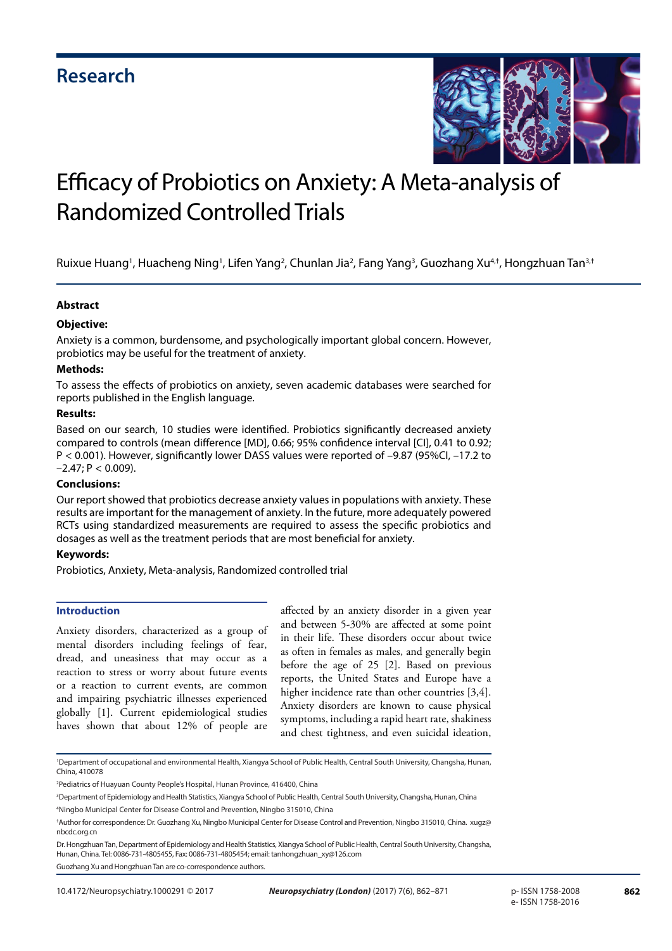

# Efficacy of Probiotics on Anxiety: A Meta-analysis of Randomized Controlled Trials

Ruixue Huang<sup>1</sup>, Huacheng Ning<sup>1</sup>, Lifen Yang<sup>2</sup>, Chunlan Jia<sup>2</sup>, Fang Yang<sup>3</sup>, Guozhang Xu<sup>4,†</sup>, Hongzhuan Tan<sup>3,†</sup>

# **Abstract**

# **Objective:**

Anxiety is a common, burdensome, and psychologically important global concern. However, probiotics may be useful for the treatment of anxiety.

# **Methods:**

To assess the effects of probiotics on anxiety, seven academic databases were searched for reports published in the English language.

# **Results:**

Based on our search, 10 studies were identified. Probiotics significantly decreased anxiety compared to controls (mean difference [MD], 0.66; 95% confidence interval [CI], 0.41 to 0.92; P < 0.001). However, significantly lower DASS values were reported of –9.87 (95%CI, –17.2 to  $-2.47$ ; P < 0.009).

# **Conclusions:**

Our report showed that probiotics decrease anxiety values in populations with anxiety. These results are important for the management of anxiety. In the future, more adequately powered RCTs using standardized measurements are required to assess the specific probiotics and dosages as well as the treatment periods that are most beneficial for anxiety.

# **Keywords:**

Probiotics, Anxiety, Meta-analysis, Randomized controlled trial

# **Introduction**

Anxiety disorders, characterized as a group of mental disorders including feelings of fear, dread, and uneasiness that may occur as a reaction to stress or worry about future events or a reaction to current events, are common and impairing psychiatric illnesses experienced globally [1]. Current epidemiological studies haves shown that about 12% of people are

affected by an anxiety disorder in a given year and between 5-30% are affected at some point in their life. These disorders occur about twice as often in females as males, and generally begin before the age of 25 [2]. Based on previous reports, the United States and Europe have a higher incidence rate than other countries [3,4]. Anxiety disorders are known to cause physical symptoms, including a rapid heart rate, shakiness and chest tightness, and even suicidal ideation,

Guozhang Xu and Hongzhuan Tan are co-correspondence authors.

<sup>1</sup> Department of occupational and environmental Health, Xiangya School of Public Health, Central South University, Changsha, Hunan, China, 410078

<sup>2</sup> Pediatrics of Huayuan County People's Hospital, Hunan Province, 416400, China

<sup>3</sup> Department of Epidemiology and Health Statistics, Xiangya School of Public Health, Central South University, Changsha, Hunan, China 4 Ningbo Municipal Center for Disease Control and Prevention, Ningbo 315010, China

<sup>†</sup> Author for correspondence: Dr. Guozhang Xu, Ningbo Municipal Center for Disease Control and Prevention, Ningbo 315010, China. xugz@ nbcdc.org.cn

Dr. Hongzhuan Tan, Department of Epidemiology and Health Statistics, Xiangya School of Public Health, Central South University, Changsha, Hunan, China. Tel: 0086-731-4805455, Fax: 0086-731-4805454; email: tanhongzhuan\_xy@126.com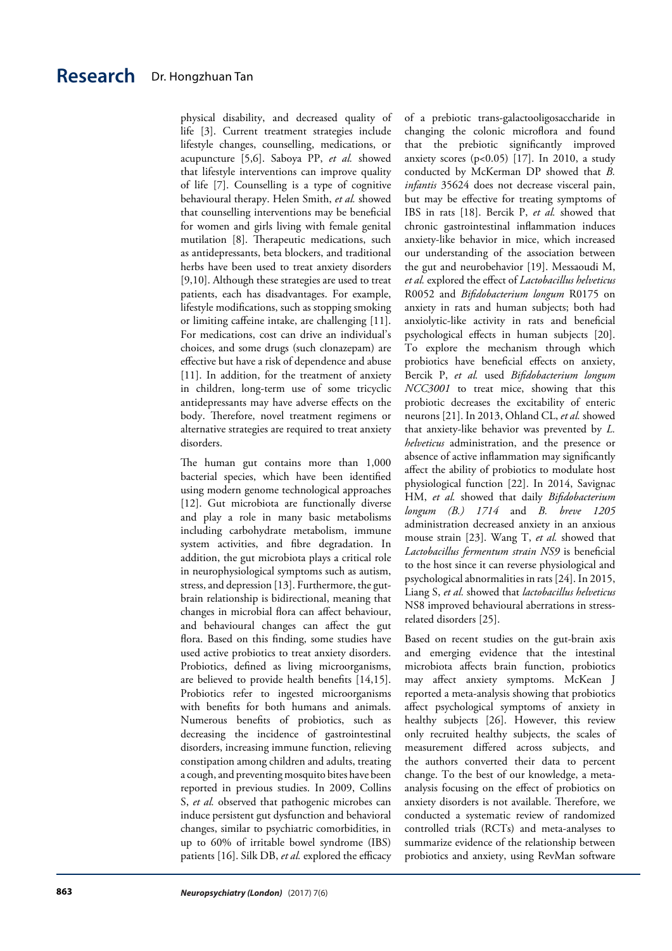physical disability, and decreased quality of life [3]. Current treatment strategies include lifestyle changes, counselling, medications, or acupuncture [5,6]. Saboya PP, *et al.* showed that lifestyle interventions can improve quality of life [7]. Counselling is a type of cognitive behavioural therapy. Helen Smith, *et al.* showed that counselling interventions may be beneficial for women and girls living with female genital mutilation [8]. Therapeutic medications, such as antidepressants, beta blockers, and traditional herbs have been used to treat anxiety disorders [9,10]. Although these strategies are used to treat patients, each has disadvantages. For example, lifestyle modifications, such as stopping smoking or limiting caffeine intake, are challenging [11]. For medications, cost can drive an individual's choices, and some drugs (such clonazepam) are effective but have a risk of dependence and abuse [11]. In addition, for the treatment of anxiety in children, long-term use of some tricyclic antidepressants may have adverse effects on the body. Therefore, novel treatment regimens or alternative strategies are required to treat anxiety disorders.

The human gut contains more than 1,000 bacterial species, which have been identified using modern genome technological approaches [12]. Gut microbiota are functionally diverse and play a role in many basic metabolisms including carbohydrate metabolism, immune system activities, and fibre degradation. In addition, the gut microbiota plays a critical role in neurophysiological symptoms such as autism, stress, and depression [13]. Furthermore, the gutbrain relationship is bidirectional, meaning that changes in microbial flora can affect behaviour, and behavioural changes can affect the gut flora. Based on this finding, some studies have used active probiotics to treat anxiety disorders. Probiotics, defined as living microorganisms, are believed to provide health benefits [14,15]. Probiotics refer to ingested microorganisms with benefits for both humans and animals. Numerous benefits of probiotics, such as decreasing the incidence of gastrointestinal disorders, increasing immune function, relieving constipation among children and adults, treating a cough, and preventing mosquito bites have been reported in previous studies. In 2009, Collins S, *et al.* observed that pathogenic microbes can induce persistent gut dysfunction and behavioral changes, similar to psychiatric comorbidities, in up to 60% of irritable bowel syndrome (IBS) patients [16]. Silk DB, *et al.* explored the efficacy

of a prebiotic trans-galactooligosaccharide in changing the colonic microflora and found that the prebiotic significantly improved anxiety scores  $(p<0.05)$  [17]. In 2010, a study conducted by McKerman DP showed that *B. infantis* 35624 does not decrease visceral pain, but may be effective for treating symptoms of IBS in rats [18]. Bercik P, *et al.* showed that chronic gastrointestinal inflammation induces anxiety-like behavior in mice, which increased our understanding of the association between the gut and neurobehavior [19]. Messaoudi M, *et al.* explored the effect of *Lactobacillus helveticus* R0052 and *Bifidobacterium longum* R0175 on anxiety in rats and human subjects; both had anxiolytic-like activity in rats and beneficial psychological effects in human subjects [20]. To explore the mechanism through which probiotics have beneficial effects on anxiety, Bercik P, *et al.* used *Bifidobacterium longum NCC3001* to treat mice, showing that this probiotic decreases the excitability of enteric neurons [21]. In 2013, Ohland CL, *et al.* showed that anxiety-like behavior was prevented by *L. helveticus* administration, and the presence or absence of active inflammation may significantly affect the ability of probiotics to modulate host physiological function [22]. In 2014, Savignac HM, *et al.* showed that daily *Bifidobacterium longum (B.) 1714* and *B. breve 1205*  administration decreased anxiety in an anxious mouse strain [23]. Wang T, *et al.* showed that *Lactobacillus fermentum strain NS9* is beneficial to the host since it can reverse physiological and psychological abnormalities in rats [24]. In 2015, Liang S, *et al.* showed that *lactobacillus helveticus* NS8 improved behavioural aberrations in stressrelated disorders [25].

Based on recent studies on the gut-brain axis and emerging evidence that the intestinal microbiota affects brain function, probiotics may affect anxiety symptoms. McKean J reported a meta-analysis showing that probiotics affect psychological symptoms of anxiety in healthy subjects [26]. However, this review only recruited healthy subjects, the scales of measurement differed across subjects, and the authors converted their data to percent change. To the best of our knowledge, a metaanalysis focusing on the effect of probiotics on anxiety disorders is not available. Therefore, we conducted a systematic review of randomized controlled trials (RCTs) and meta-analyses to summarize evidence of the relationship between probiotics and anxiety, using RevMan software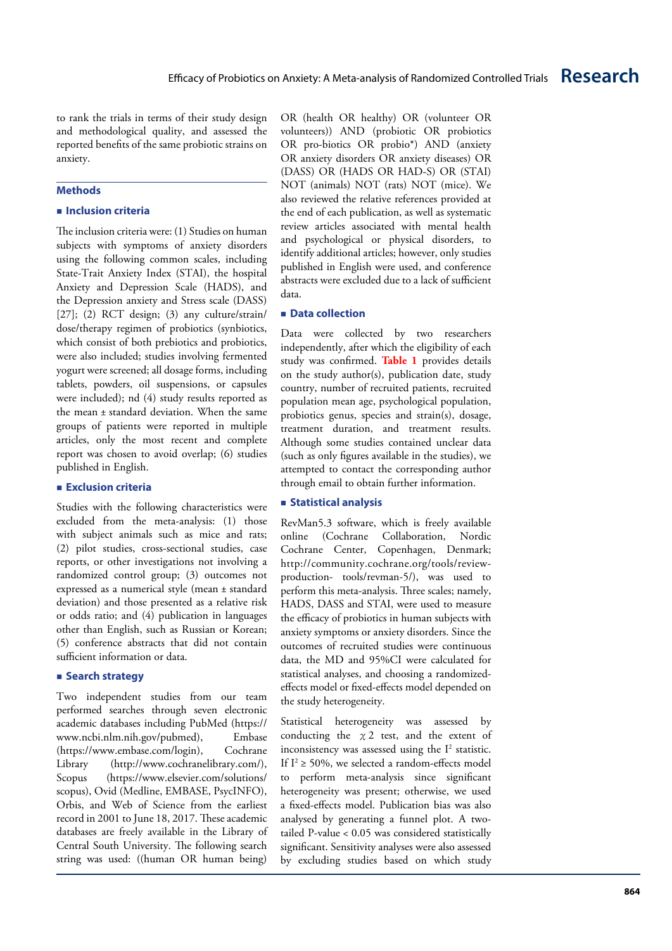to rank the trials in terms of their study design and methodological quality, and assessed the reported benefits of the same probiotic strains on anxiety.

# **Methods**

# **Inclusion criteria**

The inclusion criteria were: (1) Studies on human subjects with symptoms of anxiety disorders using the following common scales, including State-Trait Anxiety Index (STAI), the hospital Anxiety and Depression Scale (HADS), and the Depression anxiety and Stress scale (DASS) [27]; (2) RCT design; (3) any culture/strain/ dose/therapy regimen of probiotics (synbiotics, which consist of both prebiotics and probiotics, were also included; studies involving fermented yogurt were screened; all dosage forms, including tablets, powders, oil suspensions, or capsules were included); nd (4) study results reported as the mean ± standard deviation. When the same groups of patients were reported in multiple articles, only the most recent and complete report was chosen to avoid overlap; (6) studies published in English.

# **Exclusion criteria**

Studies with the following characteristics were excluded from the meta-analysis: (1) those with subject animals such as mice and rats; (2) pilot studies, cross-sectional studies, case reports, or other investigations not involving a randomized control group; (3) outcomes not expressed as a numerical style (mean ± standard deviation) and those presented as a relative risk or odds ratio; and (4) publication in languages other than English, such as Russian or Korean; (5) conference abstracts that did not contain sufficient information or data.

# **Search strategy**

Two independent studies from our team performed searches through seven electronic academic databases including PubMed (https:// www.ncbi.nlm.nih.gov/pubmed), Embase (https://www.embase.com/login), Cochrane Library (http://www.cochranelibrary.com/), Scopus (https://www.elsevier.com/solutions/ scopus), Ovid (Medline, EMBASE, PsycINFO), Orbis, and Web of Science from the earliest record in 2001 to June 18, 2017. These academic databases are freely available in the Library of Central South University. The following search string was used: ((human OR human being)

OR (health OR healthy) OR (volunteer OR volunteers)) AND (probiotic OR probiotics OR pro-biotics OR probio\*) AND (anxiety OR anxiety disorders OR anxiety diseases) OR (DASS) OR (HADS OR HAD-S) OR (STAI) NOT (animals) NOT (rats) NOT (mice). We also reviewed the relative references provided at the end of each publication, as well as systematic review articles associated with mental health and psychological or physical disorders, to identify additional articles; however, only studies published in English were used, and conference abstracts were excluded due to a lack of sufficient data.

### ■ Data collection

Data were collected by two researchers independently, after which the eligibility of each study was confirmed. **Table 1** provides details on the study author(s), publication date, study country, number of recruited patients, recruited population mean age, psychological population, probiotics genus, species and strain(s), dosage, treatment duration, and treatment results. Although some studies contained unclear data (such as only figures available in the studies), we attempted to contact the corresponding author through email to obtain further information.

# **Statistical analysis**

RevMan5.3 software, which is freely available online (Cochrane Collaboration, Nordic Cochrane Center, Copenhagen, Denmark; http://community.cochrane.org/tools/reviewproduction- tools/revman-5/), was used to perform this meta-analysis. Three scales; namely, HADS, DASS and STAI, were used to measure the efficacy of probiotics in human subjects with anxiety symptoms or anxiety disorders. Since the outcomes of recruited studies were continuous data, the MD and 95%CI were calculated for statistical analyses, and choosing a randomizedeffects model or fixed-effects model depended on the study heterogeneity.

Statistical heterogeneity was assessed by conducting the  $x2$  test, and the extent of inconsistency was assessed using the  $I^2$  statistic. If  $I^2 \ge 50\%$ , we selected a random-effects model to perform meta-analysis since significant heterogeneity was present; otherwise, we used a fixed-effects model. Publication bias was also analysed by generating a funnel plot. A twotailed P-value < 0.05 was considered statistically significant. Sensitivity analyses were also assessed by excluding studies based on which study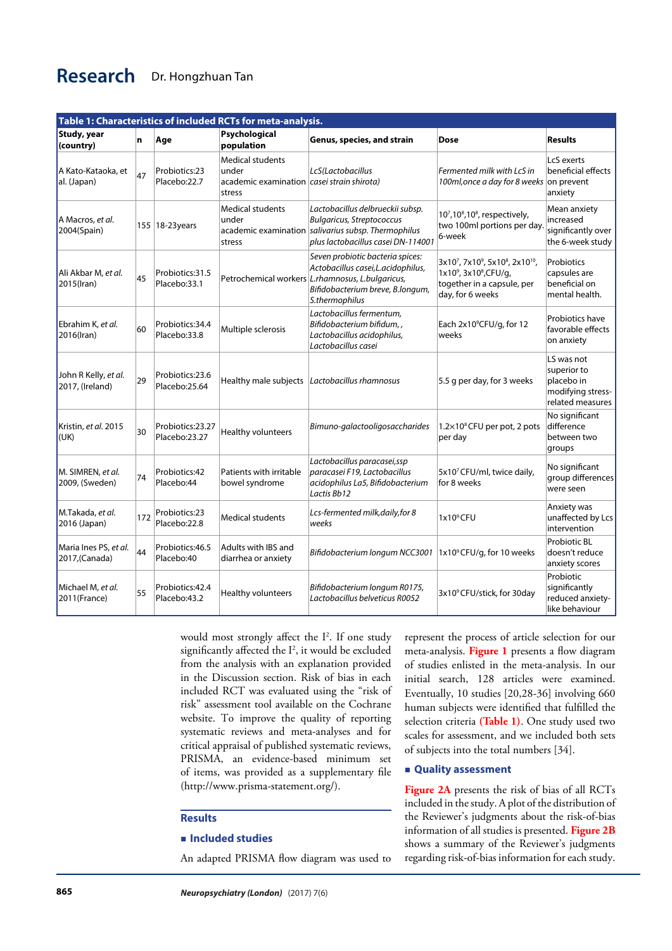| Table 1: Characteristics of included RCTs for meta-analysis. |     |                                   |                                                                                                  |                                                                                                                                                                                   |                                                                                                        |                                                                                  |  |  |  |  |
|--------------------------------------------------------------|-----|-----------------------------------|--------------------------------------------------------------------------------------------------|-----------------------------------------------------------------------------------------------------------------------------------------------------------------------------------|--------------------------------------------------------------------------------------------------------|----------------------------------------------------------------------------------|--|--|--|--|
| Study, year<br>(country)                                     | n   | Age                               | Psychological<br>population                                                                      | Genus, species, and strain                                                                                                                                                        | Dose                                                                                                   | <b>Results</b>                                                                   |  |  |  |  |
| A Kato-Kataoka, et<br>al. (Japan)                            | 47  | Probiotics:23<br>Placebo:22.7     | <b>Medical students</b><br>under<br>academic examination <i>casei strain shirota</i> )<br>stress | LcS(Lactobacillus                                                                                                                                                                 | Fermented milk with LcS in<br>100ml, once a day for 8 weeks                                            | LcS exerts<br>beneficial effects<br>on prevent<br>anxiety                        |  |  |  |  |
| A Macros, et al.<br>2004(Spain)                              |     | 155 18-23 years                   | <b>Medical students</b><br>under<br>stress                                                       | Lactobacillus delbrueckii subsp.<br><b>Bulgaricus, Streptococcus</b><br>academic examination salivarius subsp. Thermophilus<br>plus lactobacillus casei DN-114001                 | $10^7$ , $10^8$ , $10^8$ , respectively,<br>two 100ml portions per day<br>6-week                       | Mean anxiety<br>increased<br>significantly over<br>the 6-week study              |  |  |  |  |
| Ali Akbar M, et al.<br>2015(Iran)                            | 45  | Probiotics:31.5<br>Placebo:33.1   |                                                                                                  | Seven probiotic bacteria spices:<br>Actobacillus casei, L. acidophilus,<br>Petrochemical workers L.rhamnosus, L.bulgaricus,<br>Bifidobacterium breve, B.longum,<br>S.thermophilus | 3x107, 7x109, 5x108, 2x1010,<br>1x109, 3x108, CFU/g,<br>together in a capsule, per<br>day, for 6 weeks | Probiotics<br>capsules are<br>beneficial on<br>mental health.                    |  |  |  |  |
| Ebrahim K, et al.<br>2016(Iran)                              | 60  | Probiotics: 34.4<br>Placebo:33.8  | Multiple sclerosis                                                                               | Lactobacillus fermentum,<br>Bifidobacterium bifidum,,<br>Lactobacillus acidophilus,<br>Lactobacillus casei                                                                        | Each 2x10°CFU/g, for 12<br>weeks                                                                       | Probiotics have<br>favorable effects<br>on anxiety                               |  |  |  |  |
| John R Kelly, et al.<br>2017, (Ireland)                      | 29  | Probiotics:23.6<br>Placebo:25.64  |                                                                                                  | Healthy male subjects Lactobacillus rhamnosus                                                                                                                                     | 5.5 g per day, for 3 weeks                                                                             | LS was not<br>superior to<br>placebo in<br>modifying stress-<br>related measures |  |  |  |  |
| Kristin, et al. 2015<br>(UK)                                 | 30  | Probiotics:23.27<br>Placebo:23.27 | Healthy volunteers                                                                               | Bimuno-galactooligosaccharides                                                                                                                                                    | $1.2\times10^8$ CFU per pot, 2 pots<br>per day                                                         | No significant<br>difference<br>between two<br>groups                            |  |  |  |  |
| M. SIMREN, et al.<br>2009, (Sweden)                          | 74  | Probiotics:42<br>Placebo:44       | Patients with irritable<br>bowel syndrome                                                        | Lactobacillus paracasei, ssp<br>paracasei F19, Lactobacillus<br>acidophilus La5, Bifidobacterium<br>Lactis Bb12                                                                   | 5x10 <sup>7</sup> CFU/ml, twice daily,<br>for 8 weeks                                                  | No significant<br>group differences<br>were seen                                 |  |  |  |  |
| M.Takada, et al.<br>2016 (Japan)                             | 172 | Probiotics:23<br>Placebo:22.8     | <b>Medical students</b>                                                                          | Lcs-fermented milk, daily, for 8<br>weeks                                                                                                                                         | $1x10^9$ CFU                                                                                           | Anxiety was<br>unaffected by Lcs<br>intervention                                 |  |  |  |  |
| Maria Ines PS, et al.<br>2017,(Canada)                       | 44  | Probiotics:46.5<br>Placebo:40     | Adults with IBS and<br>diarrhea or anxiety                                                       | Bifidobacterium longum NCC3001   1x10°CFU/g, for 10 weeks                                                                                                                         |                                                                                                        | Probiotic BL<br>doesn't reduce<br>anxiety scores                                 |  |  |  |  |
| Michael M, et al.<br>2011(France)                            | 55  | Probiotics:42.4<br>Placebo:43.2   | Healthy volunteers                                                                               | Bifidobacterium longum R0175,<br>Lactobacillus belveticus R0052                                                                                                                   | 3x10°CFU/stick, for 30day                                                                              | Probiotic<br>significantly<br>reduced anxiety-<br>like behaviour                 |  |  |  |  |

would most strongly affect the I2 . If one study significantly affected the I2 , it would be excluded from the analysis with an explanation provided in the Discussion section. Risk of bias in each included RCT was evaluated using the "risk of risk" assessment tool available on the Cochrane website. To improve the quality of reporting systematic reviews and meta-analyses and for critical appraisal of published systematic reviews, PRISMA, an evidence-based minimum set of items, was provided as a supplementary file [\(http://www.prisma-statement.org/](http://www.prisma-statement.org/)).

# **Results**

#### **Included studies**

An adapted PRISMA flow diagram was used to

represent the process of article selection for our meta-analysis. **Figure 1** presents a flow diagram of studies enlisted in the meta-analysis. In our initial search, 128 articles were examined. Eventually, 10 studies [20,28-36] involving 660 human subjects were identified that fulfilled the selection criteria **(Table 1)**. One study used two scales for assessment, and we included both sets of subjects into the total numbers [34].

### **Quality assessment**

**Figure 2A** presents the risk of bias of all RCTs included in the study. A plot of the distribution of the Reviewer's judgments about the risk-of-bias information of all studies is presented. **Figure 2B** shows a summary of the Reviewer's judgments regarding risk-of-bias information for each study.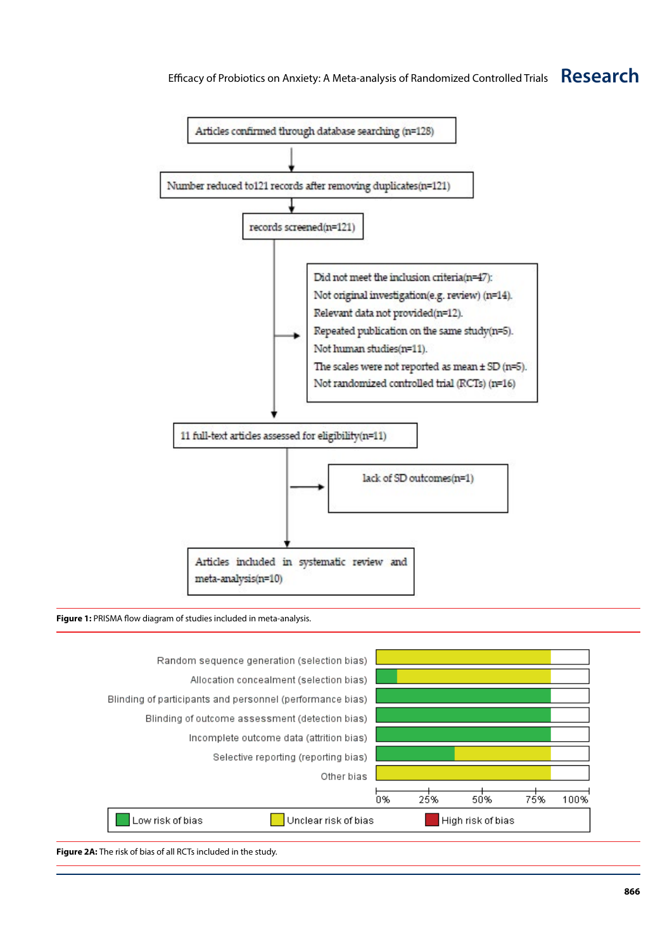

#### **Figure 1:** PRISMA flow diagram of studies included in meta-analysis.



**Figure 2A:** The risk of bias of all RCTs included in the study.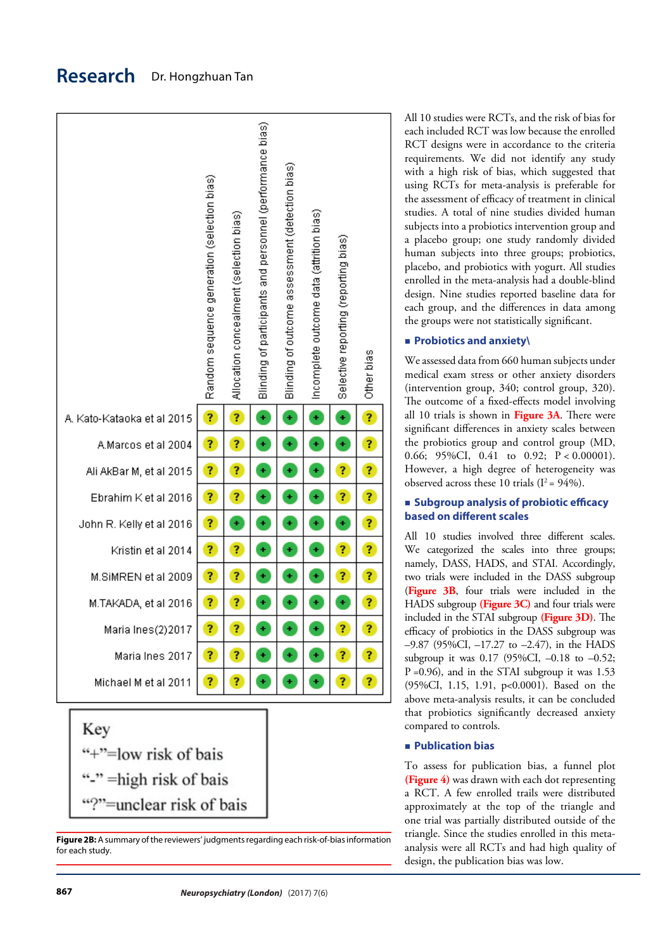

"-" = high risk of bais "?"=unclear risk of bais

**Figure 2B:** A summary of the reviewers' judgments regarding each risk-of-bias information for each study.

All 10 studies were RCTs, and the risk of bias for each included RCT was low because the enrolled RCT designs were in accordance to the criteria requirements. We did not identify any study with a high risk of bias, which suggested that using RCTs for meta-analysis is preferable for the assessment of efficacy of treatment in clinical studies. A total of nine studies divided human subjects into a probiotics intervention group and a placebo group; one study randomly divided human subjects into three groups; probiotics, placebo, and probiotics with yogurt. All studies enrolled in the meta-analysis had a double-blind design. Nine studies reported baseline data for each group, and the differences in data among the groups were not statistically significant.

# **Probiotics and anxiety\**

We assessed data from 660 human subjects under medical exam stress or other anxiety disorders (intervention group, 340; control group, 320). The outcome of a fixed-effects model involving all 10 trials is shown in **Figure 3A**. There were significant differences in anxiety scales between the probiotics group and control group (MD, 0.66; 95%CI, 0.41 to 0.92;  $P < 0.00001$ ). However, a high degree of heterogeneity was observed across these 10 trials  $(I^2 = 94\%)$ .

# **Subgroup analysis of probiotic efficacy based on different scales**

All 10 studies involved three different scales. We categorized the scales into three groups; namely, DASS, HADS, and STAI. Accordingly, two trials were included in the DASS subgroup (**Figure 3B**, four trials were included in the HADS subgroup **(Figure 3C)** and four trials were included in the STAI subgroup **(Figure 3D)**. The efficacy of probiotics in the DASS subgroup was –9.87 (95%CI, –17.27 to –2.47), in the HADS subgroup it was 0.17 (95%CI, -0.18 to -0.52; P =0.96), and in the STAI subgroup it was 1.53 (95%CI, 1.15, 1.91, p<0.0001). Based on the above meta-analysis results, it can be concluded that probiotics significantly decreased anxiety compared to controls.

# **Publication bias**

To assess for publication bias, a funnel plot **(Figure 4)** was drawn with each dot representing a RCT. A few enrolled trails were distributed approximately at the top of the triangle and one trial was partially distributed outside of the triangle. Since the studies enrolled in this metaanalysis were all RCTs and had high quality of design, the publication bias was low.

# **Research** Dr. Hongzhuan Tan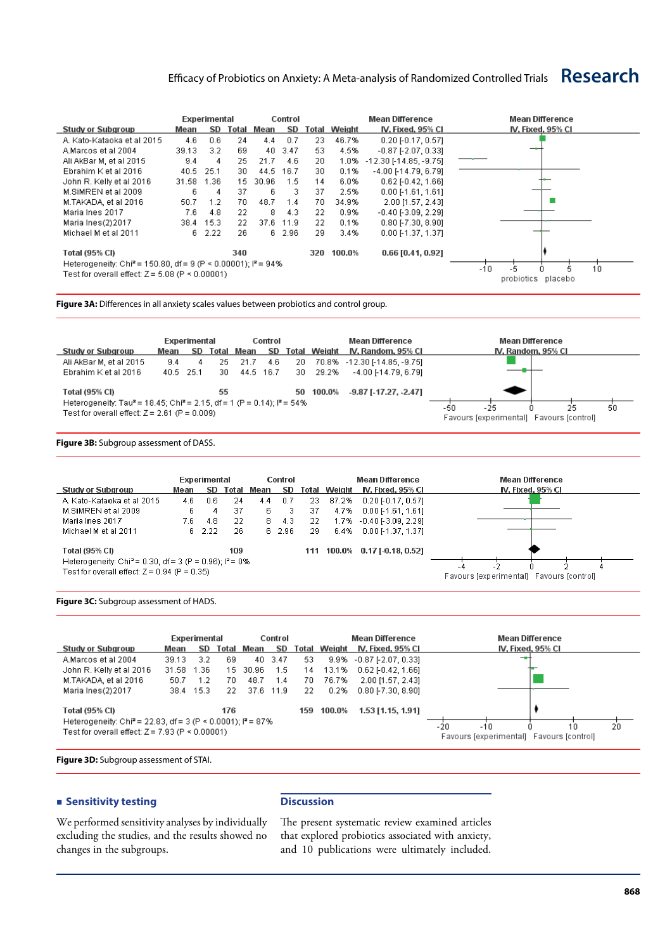# Efficacy of Probiotics on Anxiety: A Meta-analysis of Randomized Controlled Trials **Research**

|                                                                                                                                       | Experimental |                    |     | Control    |        |     |                     | <b>Mean Difference</b>       | Mean Difference   |
|---------------------------------------------------------------------------------------------------------------------------------------|--------------|--------------------|-----|------------|--------|-----|---------------------|------------------------------|-------------------|
| Study or Subgroup                                                                                                                     | Mean         | SD                 |     | Total Mean | SD     |     | <b>Total Weight</b> | IV, Fixed, 95% CI            | IV. Fixed. 95% CI |
| A. Kato-Kataoka et al 2015                                                                                                            | 4.6          | 0.6                | 24  | 4.4        | 0.7    | 23  | 46.7%               | $0.20$ F0.17, 0.571          |                   |
| A.Marcos et al 2004                                                                                                                   | 39.13        | 3.2                | 69  | 40         | 3.47   | 53  | 4.5%                | $-0.87$ [ $-2.07$ , $0.33$ ] |                   |
| Ali AkBar M, et al 2015                                                                                                               | 9.4          | 4                  | 25  | 21.7       | 4.6    | 20  | 1.0%                | $-12.30$ [-14.85, -9.75]     |                   |
| Ebrahim K et al 2016                                                                                                                  | 40.5         | 25.1               | 30  | 44.5       | 16.7   | 30  | 0.1%                | $-4.00$ [-14.79, 6.79]       |                   |
| John R. Kelly et al 2016                                                                                                              | 31.58        | 1.36               | 15  | 30.96      | 1.5    | 14  | 6.0%                | $0.62$ F $0.42$ , 1.661      |                   |
| M.SIMREN et al 2009                                                                                                                   | 6.           | 4                  | 37  | 6          | з      | 37  | 2.5%                | $0.00$ [-1.61, 1.61]         |                   |
| M.TAKADA, et al 2016                                                                                                                  | 50.7         | 1.2                | 70  | 48.7       | 1.4    | 70  | 34.9%               | 2.00 [1.57, 2.43]            |                   |
| Maria Ines 2017                                                                                                                       | 7.6          | 4.8                | 22  | 8          | 4.3    | 22  | 0.9%                | $-0.40$ [ $-3.09, 2.29$ ]    |                   |
| Maria Ines(2)2017                                                                                                                     | 38.4         | 15.3               | 22  | 37.6       | 11.9   | 22  | 0.1%                | $0.80$ [-7.30, 8.90]         |                   |
| Michael M et al 2011                                                                                                                  | 6.           | 2.22               | 26  |            | 6 2.96 | 29  | 3.4%                | $0.00$ [-1.37, 1.37]         |                   |
| Total (95% CI)                                                                                                                        |              |                    | 340 |            |        | 320 | 100.0%              | 0.66 [0.41, 0.92]            |                   |
| Heterogeneity: Chi <sup>2</sup> = 150.80, df = 9 (P < 0.00001); $P = 94\%$<br>Test for overall effect: $Z = 5.08$ (P $\leq 0.00001$ ) |              | 10<br>-6<br>$-10$  |     |            |        |     |                     |                              |                   |
|                                                                                                                                       |              | probiotics placebo |     |            |        |     |                     |                              |                   |

**Figure 3A:** Differences in all anxiety scales values between probiotics and control group.



**Figure 3B:** Subgroup assessment of DASS.

|                                                                                    | Experimental |        |       | Control |        |     | Mean Difference |                          | <b>Mean Difference</b>                   |  |
|------------------------------------------------------------------------------------|--------------|--------|-------|---------|--------|-----|-----------------|--------------------------|------------------------------------------|--|
| <b>Study or Subgroup</b>                                                           | Mean         | SD     | Total | Mean    | SD.    |     | Total Weight    | IV. Fixed. 95% CI        | IV. Fixed. 95% CI                        |  |
| A. Kato-Kataoka et al 2015                                                         | 4.6          | 0.6    | 24    | 4.4     | 0.7    | 23. | 87.2%           | $0.20$ [-0.17, 0.57]     |                                          |  |
| M.SIMREN et al 2009                                                                | 6.           |        | 37    | 6.      | з      | 37  | 4.7%            | $0.00$ [-1.61, 1.61]     |                                          |  |
| Maria Ines 2017                                                                    | 7.6          | 4.8    | 22    | 8.      | 4.3    | 22  |                 | 1.7% -0.40 [-3.09, 2.29] |                                          |  |
| Michael M et al 2011                                                               |              | 6 2.22 | 26    |         | 6 2.96 | 29  | 6.4%            | $0.00$ F1.37, 1.37]      |                                          |  |
| <b>Total (95% CI)</b>                                                              |              |        | 109   |         |        | 111 | 100.0%          | $0.17$ [-0.18, 0.52]     |                                          |  |
| Heterogeneity: Chi <sup>2</sup> = 0.30, df = 3 (P = 0.96); $P = 0\%$<br>- 4<br>. . |              |        |       |         |        |     |                 |                          |                                          |  |
| Test for overall effect: $Z = 0.94$ (P = 0.35)                                     |              |        |       |         |        |     |                 |                          | Favours lexperimental) Favours lcontroll |  |

**Figure 3C:** Subgroup assessment of HADS.

|                                                                                                   | Experimental |           |                                          | Control                    |           |              | <b>Mean Difference</b> |                           | Mean Difference   |
|---------------------------------------------------------------------------------------------------|--------------|-----------|------------------------------------------|----------------------------|-----------|--------------|------------------------|---------------------------|-------------------|
| <b>Study or Subgroup</b>                                                                          | Mean         | SD        | Total                                    | Mean                       | SD        | <b>Fotal</b> | Weight                 | IV. Fixed. 95% CI         | IV, Fixed, 95% CI |
| A.Marcos et al 2004                                                                               | 39.13        | 3.2       | 69                                       |                            | 40 3.47   | 53           |                        | 9.9% - 0.87 [-2.07, 0.33] |                   |
| John R. Kelly et al 2016                                                                          | 31.58        | 1.36      | 15.                                      | 30.96                      | 1.5       | 14           | 13.1%                  | $0.62$ FO.42, 1.661       |                   |
| M.TAKADA, et al 2016                                                                              | 50.7         | 1.2       | 70.                                      | 48.7                       | 1.4       | 70           | 76.7%                  | 2.00 [1.57, 2.43]         |                   |
| Maria Ines(2)2017                                                                                 |              | 38.4 15.3 | -22                                      |                            | 37.6 11.9 | 22           | 0.2%                   | $0.80$ [-7.30, 8.90]      |                   |
| <b>Total (95% CI)</b><br>Heterogeneity: Chi <sup>2</sup> = 22.83, df = 3 (P < 0.0001); $P = 87\%$ |              |           |                                          |                            |           |              |                        |                           |                   |
|                                                                                                   |              |           |                                          | 20<br>$-20$<br>$-10$<br>10 |           |              |                        |                           |                   |
| Test for overall effect: $Z = 7.93$ (P $\leq 0.00001$ )                                           |              |           | Favours Jexperimental) Favours Jcontroll |                            |           |              |                        |                           |                   |

**Figure 3D:** Subgroup assessment of STAI.

#### **Exercitivity testing**

We performed sensitivity analyses by individually excluding the studies, and the results showed no changes in the subgroups.

#### **Discussion**

The present systematic review examined articles that explored probiotics associated with anxiety, and 10 publications were ultimately included.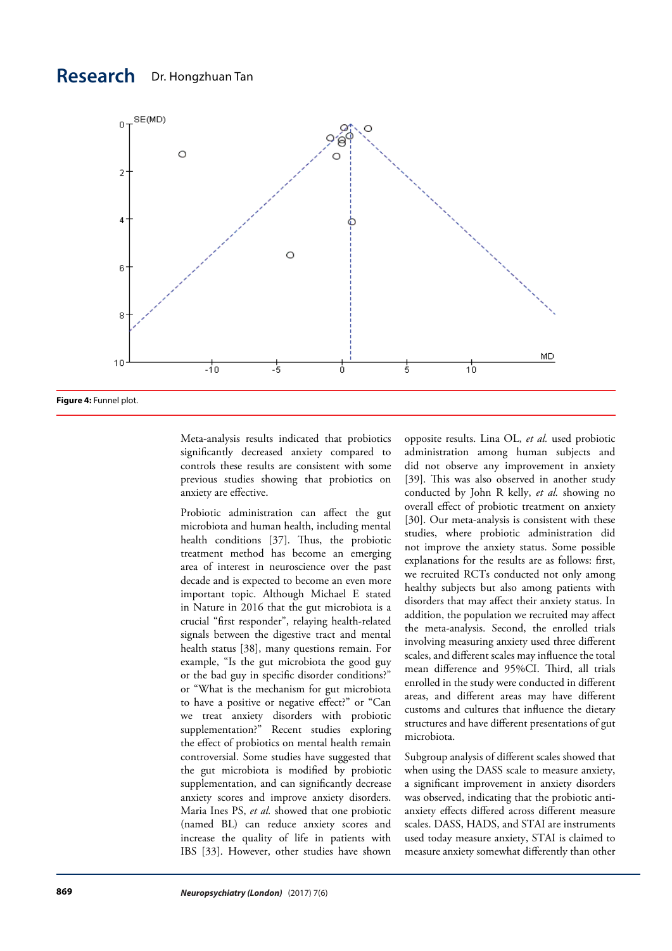

Meta-analysis results indicated that probiotics significantly decreased anxiety compared to controls these results are consistent with some previous studies showing that probiotics on anxiety are effective.

Probiotic administration can affect the gut microbiota and human health, including mental health conditions [37]. Thus, the probiotic treatment method has become an emerging area of interest in neuroscience over the past decade and is expected to become an even more important topic. Although Michael E stated in Nature in 2016 that the gut microbiota is a crucial "first responder", relaying health-related signals between the digestive tract and mental health status [38], many questions remain. For example, "Is the gut microbiota the good guy or the bad guy in specific disorder conditions?" or "What is the mechanism for gut microbiota to have a positive or negative effect?" or "Can we treat anxiety disorders with probiotic supplementation?" Recent studies exploring the effect of probiotics on mental health remain controversial. Some studies have suggested that the gut microbiota is modified by probiotic supplementation, and can significantly decrease anxiety scores and improve anxiety disorders. Maria Ines PS, *et al.* showed that one probiotic (named BL) can reduce anxiety scores and increase the quality of life in patients with IBS [33]. However, other studies have shown opposite results. Lina OL, *et al.* used probiotic administration among human subjects and did not observe any improvement in anxiety [39]. This was also observed in another study conducted by John R kelly, *et al.* showing no overall effect of probiotic treatment on anxiety [30]. Our meta-analysis is consistent with these studies, where probiotic administration did not improve the anxiety status. Some possible explanations for the results are as follows: first, we recruited RCTs conducted not only among healthy subjects but also among patients with disorders that may affect their anxiety status. In addition, the population we recruited may affect the meta-analysis. Second, the enrolled trials involving measuring anxiety used three different scales, and different scales may influence the total mean difference and 95%CI. Third, all trials enrolled in the study were conducted in different areas, and different areas may have different customs and cultures that influence the dietary structures and have different presentations of gut microbiota.

Subgroup analysis of different scales showed that when using the DASS scale to measure anxiety, a significant improvement in anxiety disorders was observed, indicating that the probiotic antianxiety effects differed across different measure scales. DASS, HADS, and STAI are instruments used today measure anxiety, STAI is claimed to measure anxiety somewhat differently than other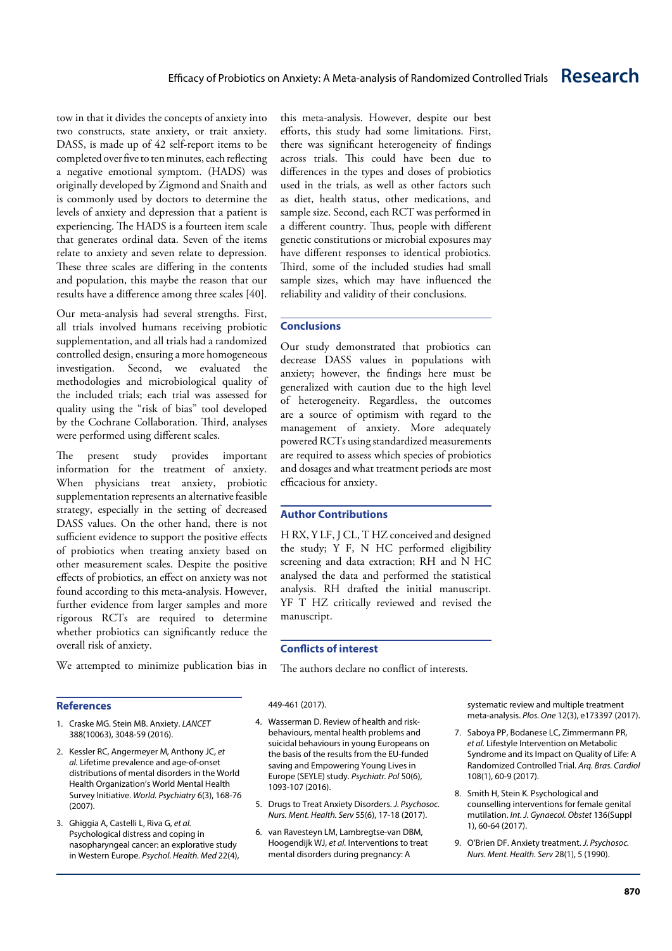tow in that it divides the concepts of anxiety into two constructs, state anxiety, or trait anxiety. DASS, is made up of 42 self-report items to be completed over five to ten minutes, each reflecting a negative emotional symptom. (HADS) was originally developed by Zigmond and Snaith and is commonly used by doctors to determine the levels of anxiety and depression that a patient is experiencing. The HADS is a fourteen item scale that generates ordinal data. Seven of the items relate to anxiety and seven relate to depression. These three scales are differing in the contents and population, this maybe the reason that our results have a difference among three scales [40].

Our meta-analysis had several strengths. First, all trials involved humans receiving probiotic supplementation, and all trials had a randomized controlled design, ensuring a more homogeneous investigation. Second, we evaluated the methodologies and microbiological quality of the included trials; each trial was assessed for quality using the "risk of bias" tool developed by the Cochrane Collaboration. Third, analyses were performed using different scales.

The present study provides important information for the treatment of anxiety. When physicians treat anxiety, probiotic supplementation represents an alternative feasible strategy, especially in the setting of decreased DASS values. On the other hand, there is not sufficient evidence to support the positive effects of probiotics when treating anxiety based on other measurement scales. Despite the positive effects of probiotics, an effect on anxiety was not found according to this meta-analysis. However, further evidence from larger samples and more rigorous RCTs are required to determine whether probiotics can significantly reduce the overall risk of anxiety.

We attempted to minimize publication bias in

#### **References**

- 1. Craske MG. Stein MB. Anxiety. *LANCET* 388(10063), 3048-59 (2016).
- 2. Kessler RC, Angermeyer M, Anthony JC, *et al.* Lifetime prevalence and age-of-onset distributions of mental disorders in the World Health Organization's World Mental Health Survey Initiative. *World. Psychiatry* 6(3), 168-76 (2007).
- 3. Ghiggia A, Castelli L, Riva G, *et al.* Psychological distress and coping in nasopharyngeal cancer: an explorative study in Western Europe. *Psychol. Health. Med* 22(4),

this meta-analysis. However, despite our best efforts, this study had some limitations. First, there was significant heterogeneity of findings across trials. This could have been due to differences in the types and doses of probiotics used in the trials, as well as other factors such as diet, health status, other medications, and sample size. Second, each RCT was performed in a different country. Thus, people with different genetic constitutions or microbial exposures may have different responses to identical probiotics. Third, some of the included studies had small sample sizes, which may have influenced the reliability and validity of their conclusions.

### **Conclusions**

Our study demonstrated that probiotics can decrease DASS values in populations with anxiety; however, the findings here must be generalized with caution due to the high level of heterogeneity. Regardless, the outcomes are a source of optimism with regard to the management of anxiety. More adequately powered RCTs using standardized measurements are required to assess which species of probiotics and dosages and what treatment periods are most efficacious for anxiety.

# **Author Contributions**

H RX, Y LF, J CL, T HZ conceived and designed the study; Y F, N HC performed eligibility screening and data extraction; RH and N HC analysed the data and performed the statistical analysis. RH drafted the initial manuscript. YF T HZ critically reviewed and revised the manuscript.

#### **Conflicts of interest**

The authors declare no conflict of interests.

#### 449-461 (2017).

- 4. Wasserman D. Review of health and riskbehaviours, mental health problems and suicidal behaviours in young Europeans on the basis of the results from the EU-funded saving and Empowering Young Lives in Europe (SEYLE) study. *Psychiatr. Pol* 50(6), 1093-107 (2016).
- 5. Drugs to Treat Anxiety Disorders. *J. Psychosoc. Nurs. Ment. Health. Serv* 55(6), 17-18 (2017).
- 6. van Ravesteyn LM, Lambregtse-van DBM, Hoogendijk WJ, *et al.* Interventions to treat mental disorders during pregnancy: A

systematic review and multiple treatment meta-analysis. *Plos. One* 12(3), e173397 (2017).

- 7. Saboya PP, Bodanese LC, Zimmermann PR, *et al.* Lifestyle Intervention on Metabolic Syndrome and its Impact on Quality of Life: A Randomized Controlled Trial. *Arq. Bras. Cardiol* 108(1), 60-9 (2017).
- 8. Smith H, Stein K. Psychological and counselling interventions for female genital mutilation. *Int. J. Gynaecol. Obstet* 136(Suppl 1), 60-64 (2017).
- 9. O'Brien DF. Anxiety treatment. *J. Psychosoc. Nurs. Ment. Health. Serv* 28(1), 5 (1990).